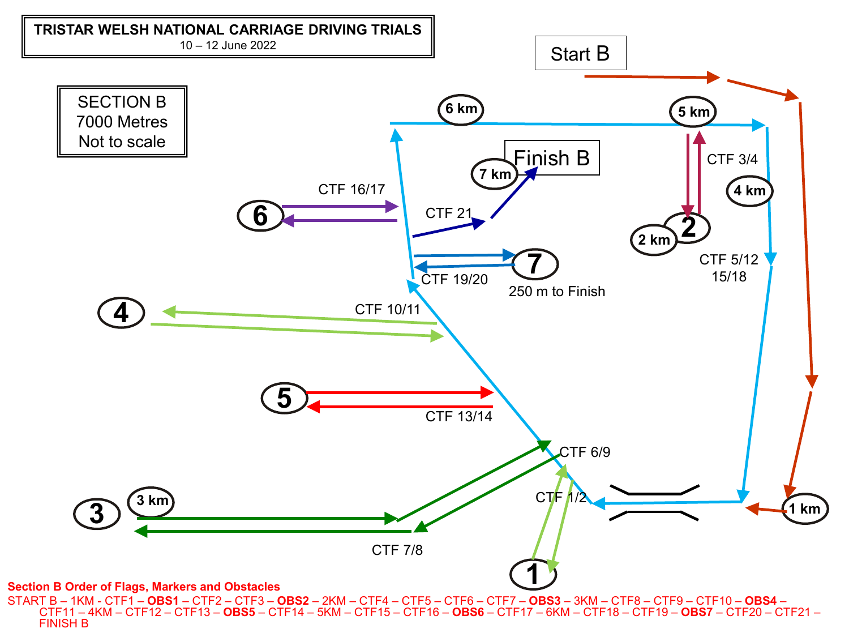

START B – 1KM - CTF1 – **OBS1** – CTF2 – CTF3 – **OBS2** – 2KM – CTF4 – CTF5 – CTF6 – CTF7 – **OBS3** – 3KM – CTF8 – CTF9 – CTF10 – **OBS4** –<br>— CTF11 – 4KM – CTF12 – CTF13 – **OBS5** – CTF14 – 5KM – CTF15 – CTF16 – **OBS6** – CTF17 –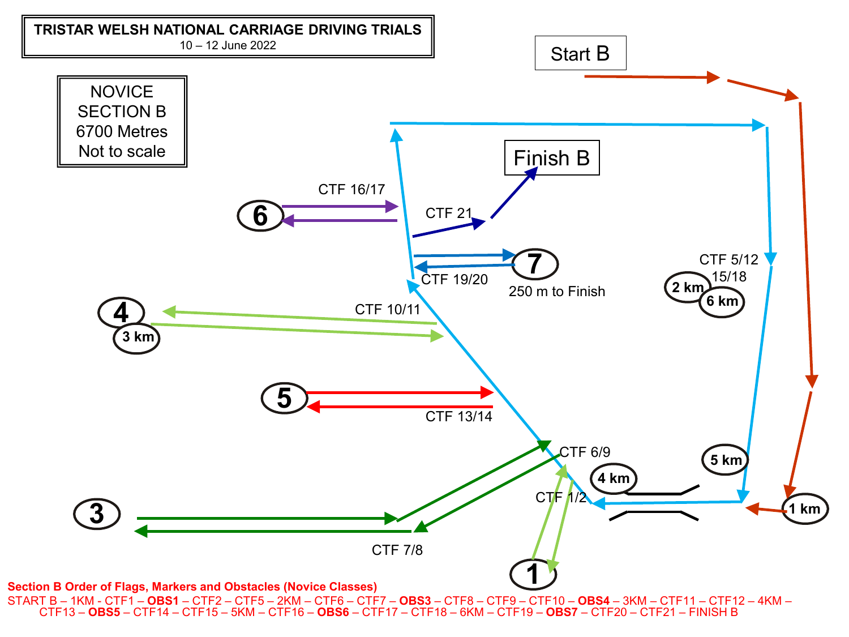

START B – 1KM - CTF1 – OBS1 – CTF2 – CTF5 – 2KM – CTF6 – CTF7 – OBS3 – CTF8 – CTF9 – CTF10 – OBS4 – 3KM – CTF11 – CTF12 – 4KM –<br>CTF13 – OBS5 – CTF14 – CTF15 – 5KM – CTF16 – OBS6 – CTF17 – CTF18 – 6KM – CTF19 – OBS7 – CTF20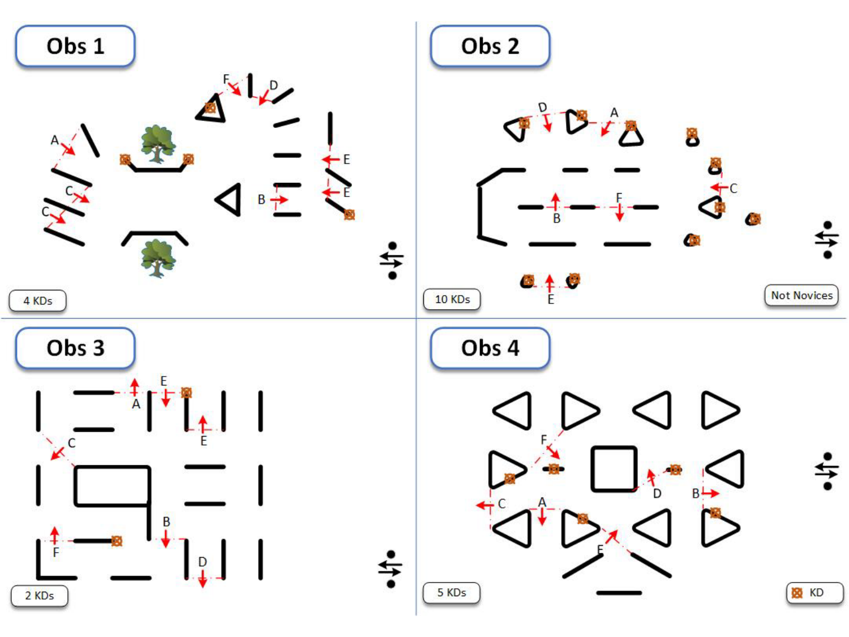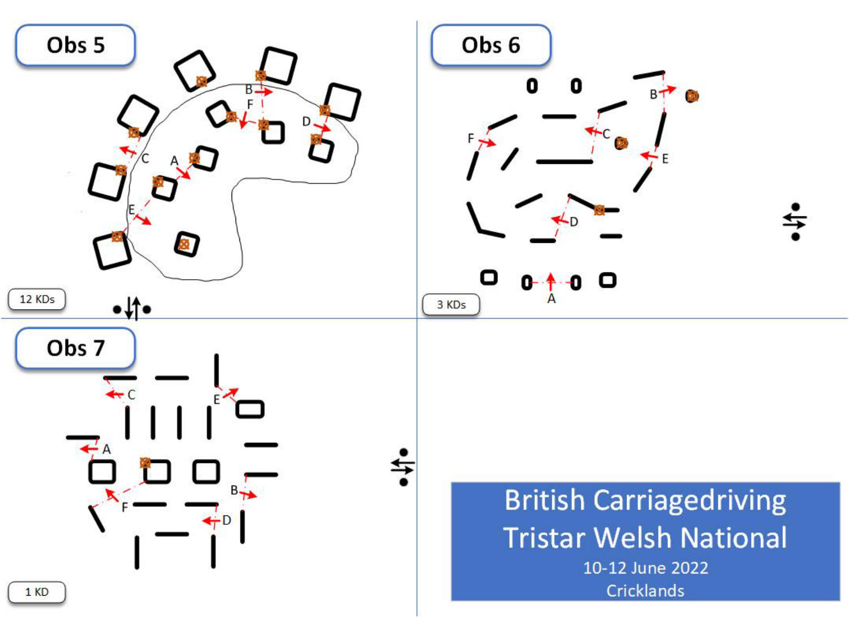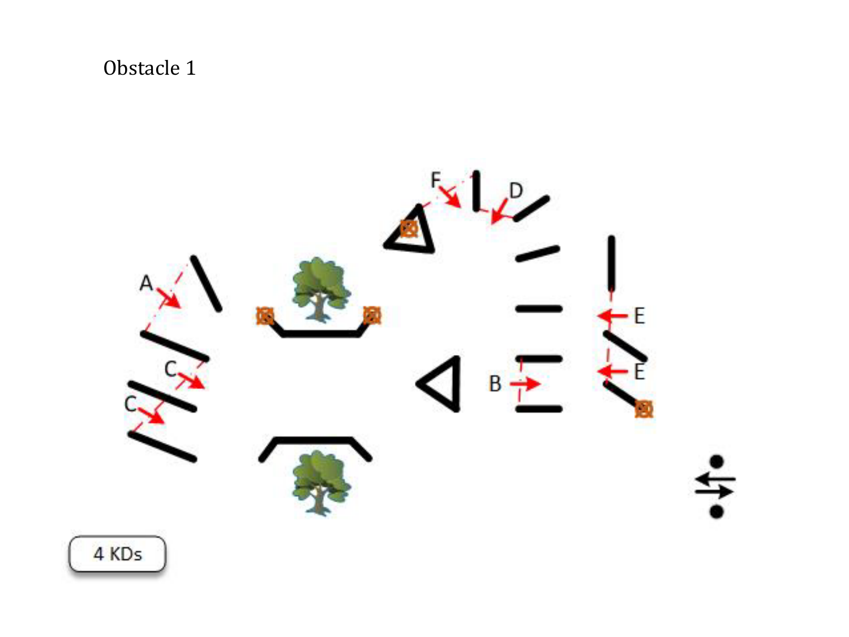

4 KDs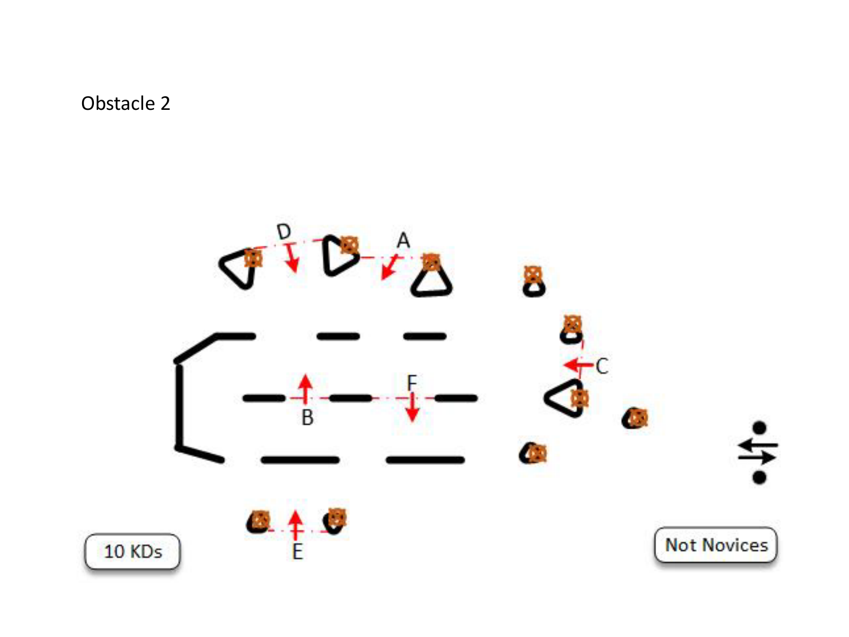

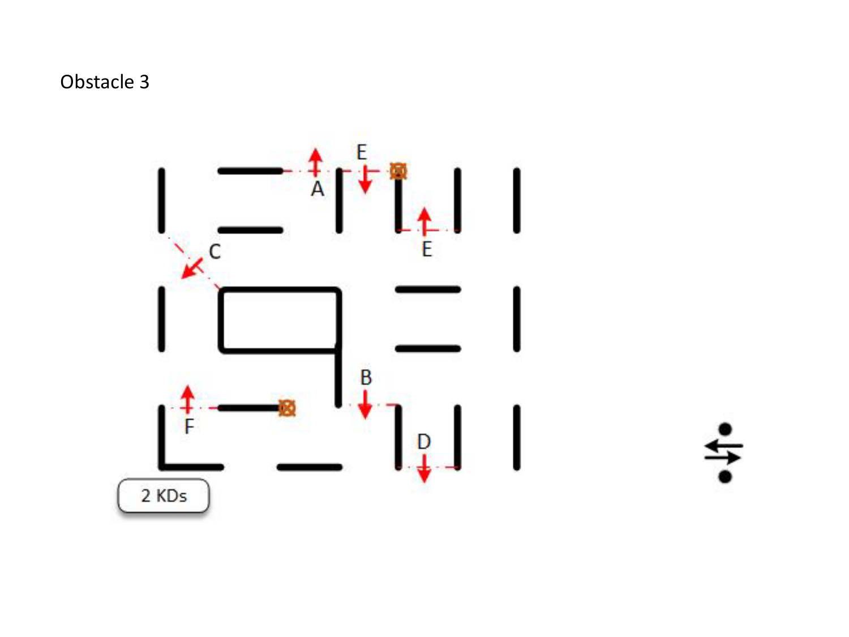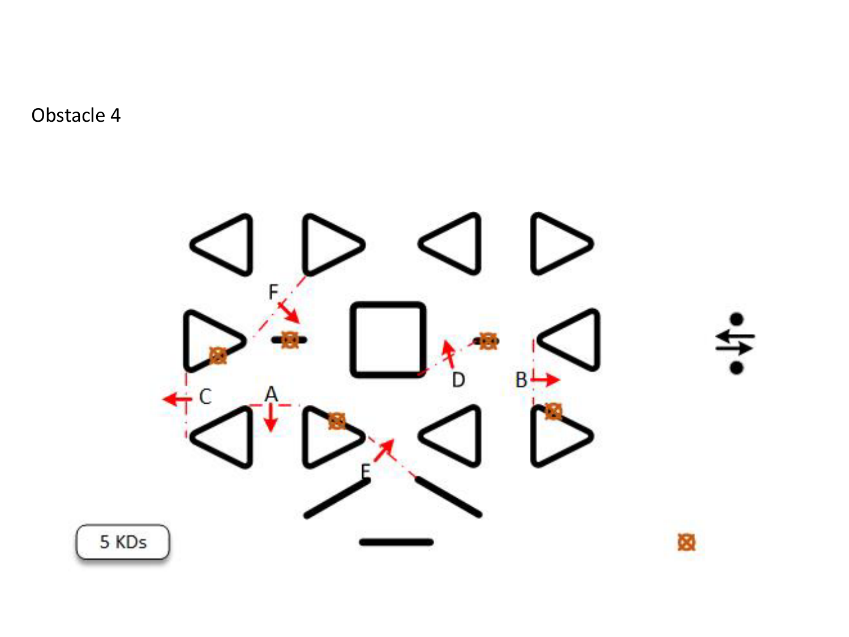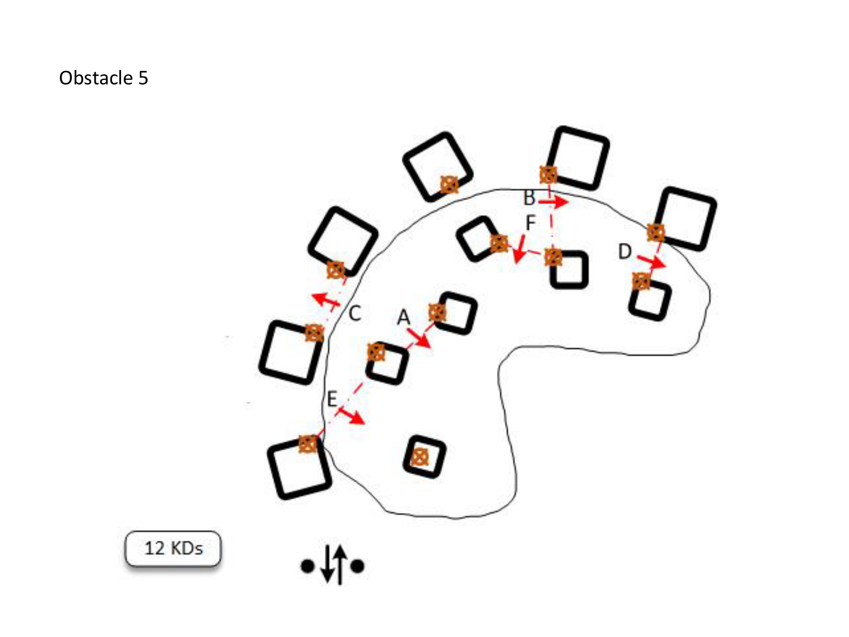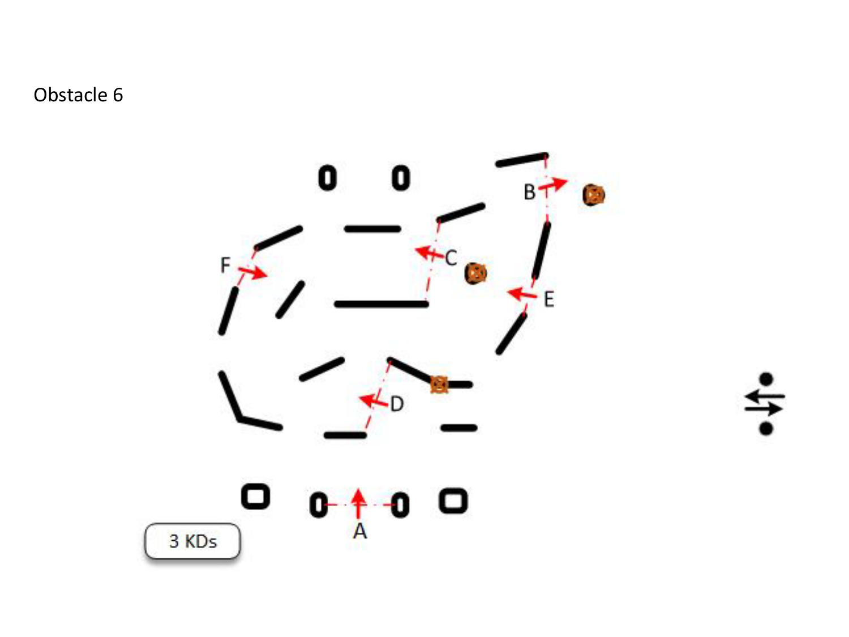